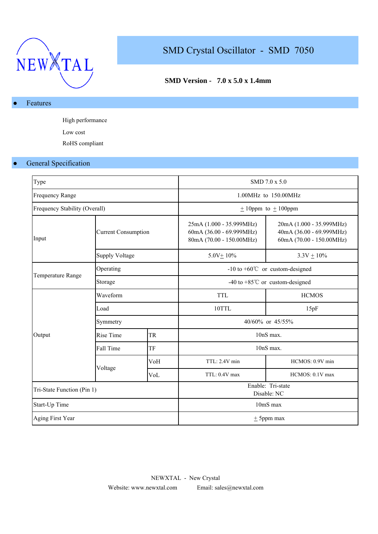

# SMD Crystal Oscillator - SMD 7050

## **SMD Version - 7.0 x 5.0 x 1.4mm**

#### Features

High performance Low cost RoHS compliant

#### ● General Specification

| Type                          |                            |           |                                                                                  | SMD 7.0 x 5.0                                                                    |  |  |  |  |
|-------------------------------|----------------------------|-----------|----------------------------------------------------------------------------------|----------------------------------------------------------------------------------|--|--|--|--|
| <b>Frequency Range</b>        |                            |           |                                                                                  | $1.00MHz$ to $150.00MHz$                                                         |  |  |  |  |
| Frequency Stability (Overall) |                            |           |                                                                                  | $± 10$ ppm to $± 100$ ppm                                                        |  |  |  |  |
| Input                         | <b>Current Consumption</b> |           | 25mA (1.000 - 35.999MHz)<br>60mA (36.00 - 69.999MHz)<br>80mA (70.00 - 150.00MHz) | 20mA (1.000 - 35.999MHz)<br>40mA (36.00 - 69.999MHz)<br>60mA (70.00 - 150.00MHz) |  |  |  |  |
|                               | <b>Supply Voltage</b>      |           | $5.0V + 10%$                                                                     | $3.3V + 10\%$                                                                    |  |  |  |  |
|                               | Operating                  |           | $-10$ to $+60^{\circ}$ or custom-designed                                        |                                                                                  |  |  |  |  |
| Temperature Range             | Storage                    |           |                                                                                  | -40 to +85 $^{\circ}$ C or custom-designed                                       |  |  |  |  |
|                               | Waveform                   |           | <b>TTL</b>                                                                       | <b>HCMOS</b>                                                                     |  |  |  |  |
|                               | Load                       |           | 10TTL                                                                            | 15pF                                                                             |  |  |  |  |
|                               | Symmetry                   |           | 40/60% or 45/55%                                                                 |                                                                                  |  |  |  |  |
| Output                        | Rise Time                  | <b>TR</b> | 10nS max.                                                                        |                                                                                  |  |  |  |  |
|                               | Fall Time                  | TF        |                                                                                  | 10nS max.                                                                        |  |  |  |  |
|                               |                            | VoH       | TTL: 2.4V min                                                                    | HCMOS: 0.9V min                                                                  |  |  |  |  |
|                               | Voltage                    | VoL       | TTL: 0.4V max                                                                    | HCMOS: 0.1V max                                                                  |  |  |  |  |
| Tri-State Function (Pin 1)    |                            |           | Enable: Tri-state<br>Disable: NC                                                 |                                                                                  |  |  |  |  |
| Start-Up Time                 |                            |           | 10mS max                                                                         |                                                                                  |  |  |  |  |
| Aging First Year              |                            |           | $\pm$ 5ppm max                                                                   |                                                                                  |  |  |  |  |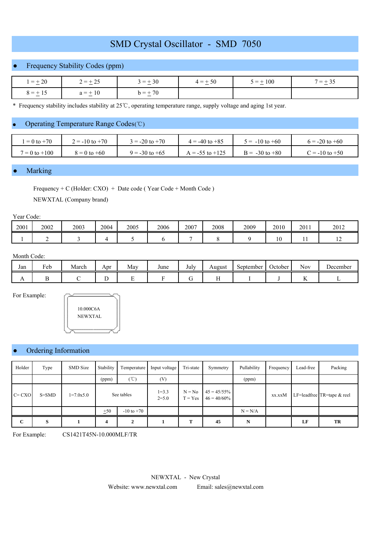## SMD Crystal Oscillator - SMD 7050

## ● Frequency Stability Codes (ppm)

| $=\pm 20$    | $r = \pm 25$<br><b>1</b>         | $= +30$<br>__ | $4 = +50$<br>$ -$ | $5 = \pm 100$ | $=$ $\cdot$ |  |
|--------------|----------------------------------|---------------|-------------------|---------------|-------------|--|
| $8 = \pm 15$ | $\frac{1}{2}$ + 10<br>$\Omega =$ | $h = +70$     |                   |               |             |  |

\* Frequency stability includes stability at 25 ℃, operating temperature range, supply voltage and aging 1st year.

#### Operating Temperature Range Codes (℃)

| $= 0$ to $+70$    | $3 = -20$ to $+70$<br>$2 = -10$ to $+70$ |                    | $4 = -40$ to $+85$  | $\bar{s} = -10$ to $+60$ | $6 = -20$ to $+60$ |  |
|-------------------|------------------------------------------|--------------------|---------------------|--------------------------|--------------------|--|
| $7 = 0$ to $+100$ | $8 = 0$ to $+60$                         | $9 = -30$ to $+65$ | $A = -55$ to $+125$ | $B = -30$ to $+80$       | $C = -10$ to $+50$ |  |

#### **Marking**

Frequency + C (Holder: CXO) + Date code ( Year Code + Month Code )

NEWXTAL (Company brand)

#### Year Code:

| 2001 | 2002 | 2003 | 2004 | 2005 | 2006 | 2007 | 2008 | 2009 | 2010              | 2011 | 2012 |
|------|------|------|------|------|------|------|------|------|-------------------|------|------|
|      |      |      |      |      |      |      |      |      | 1 $\Omega$<br>1 Q | . .  | . .  |

#### Month Code:

| Jan | $\mathbf{r}$<br>Feb | March | Apr | May | June | July | August | September | October | <b>Nov</b>     | December |
|-----|---------------------|-------|-----|-----|------|------|--------|-----------|---------|----------------|----------|
| 1 L |                     |       |     |     |      |      |        |           |         | $\overline{1}$ |          |

For Example:



## Ordering Information

| Holder      | Type      | SMD Size    | Stability  | Temperature    | Input voltage          | Tri-state             | Symmetry                         | Pullability | Frequency | Lead-free | Packing                    |
|-------------|-----------|-------------|------------|----------------|------------------------|-----------------------|----------------------------------|-------------|-----------|-----------|----------------------------|
|             |           |             | (ppm)      | (°C)           | (V)                    |                       |                                  | (ppm)       |           |           |                            |
| $C = CXO$   | $S = SMD$ | $1=7.0x5.0$ | See tables |                | $1 = 3.3$<br>$2 = 5.0$ | $N = No$<br>$T = Yes$ | $45 = 45/55\%$<br>$46 = 40/60\%$ |             | xx.xxM    |           | LF=leadfree TR=tape & reel |
|             |           |             | ±50        | $-10$ to $+70$ |                        |                       |                                  | $N = N/A$   |           |           |                            |
| $\mathbf C$ | S         |             | 4          |                |                        | т                     | 45                               | N           |           | LF        | TR                         |

For Example: CS1421T45N-10.000MLF/TR

NEWXTAL - New Crystal

Website: www.newxtal.com Email: sales@newxtal.com